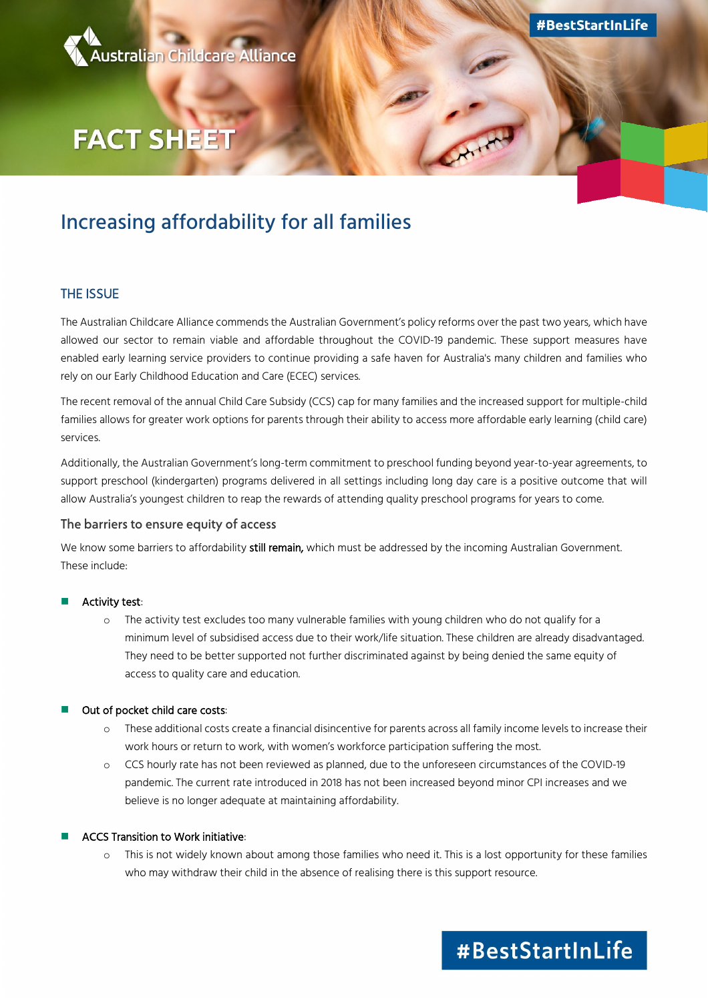

# **FACT SHEET**

### Increasing affordability for all families

#### THE ISSUE

The Australian Childcare Alliance commends the Australian Government's policy reforms over the past two years, which have allowed our sector to remain viable and affordable throughout the COVID-19 pandemic. These support measures have enabled early learning service providers to continue providing a safe haven for Australia's many children and families who rely on our Early Childhood Education and Care (ECEC) services.

The recent removal of the annual Child Care Subsidy (CCS) cap for many families and the increased support for multiple-child families allows for greater work options for parents through their ability to access more affordable early learning (child care) services.

Additionally, the Australian Government's long-term commitment to preschool funding beyond year-to-year agreements, to support preschool (kindergarten) programs delivered in all settings including long day care is a positive outcome that will allow Australia's youngest children to reap the rewards of attending quality preschool programs for years to come.

#### The barriers to ensure equity of access

We know some barriers to affordability still remain, which must be addressed by the incoming Australian Government. These include:

#### Activity test:

o The activity test excludes too many vulnerable families with young children who do not qualify for a minimum level of subsidised access due to their work/life situation. These children are already disadvantaged. They need to be better supported not further discriminated against by being denied the same equity of access to quality care and education.

#### Out of pocket child care costs:

- o These additional costs create a financial disincentive for parents across all family income levels to increase their work hours or return to work, with women's workforce participation suffering the most.
- o CCS hourly rate has not been reviewed as planned, due to the unforeseen circumstances of the COVID-19 pandemic. The current rate introduced in 2018 has not been increased beyond minor CPI increases and we believe is no longer adequate at maintaining affordability.

#### ACCS Transition to Work initiative:

o This is not widely known about among those families who need it. This is a lost opportunity for these families who may withdraw their child in the absence of realising there is this support resource.

## #BestStartInLife